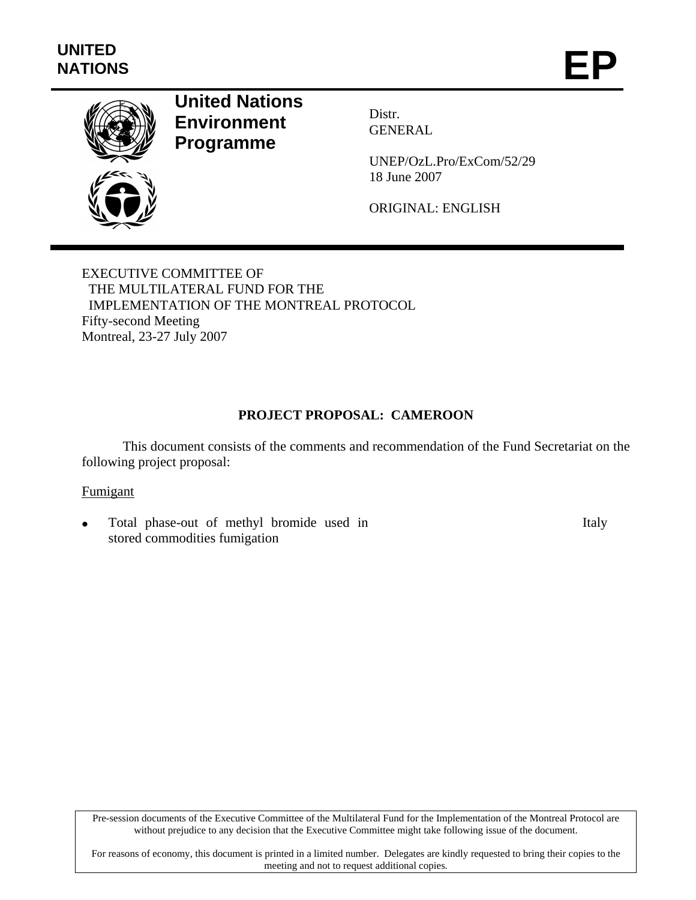

# **United Nations Environment Programme**

Distr. GENERAL

UNEP/OzL.Pro/ExCom/52/29 18 June 2007

ORIGINAL: ENGLISH

EXECUTIVE COMMITTEE OF THE MULTILATERAL FUND FOR THE IMPLEMENTATION OF THE MONTREAL PROTOCOL Fifty-second Meeting Montreal, 23-27 July 2007

# **PROJECT PROPOSAL: CAMEROON**

This document consists of the comments and recommendation of the Fund Secretariat on the following project proposal:

#### Fumigant

• Total phase-out of methyl bromide used in stored commodities fumigation

Italy

Pre-session documents of the Executive Committee of the Multilateral Fund for the Implementation of the Montreal Protocol are without prejudice to any decision that the Executive Committee might take following issue of the document.

For reasons of economy, this document is printed in a limited number. Delegates are kindly requested to bring their copies to the meeting and not to request additional copies.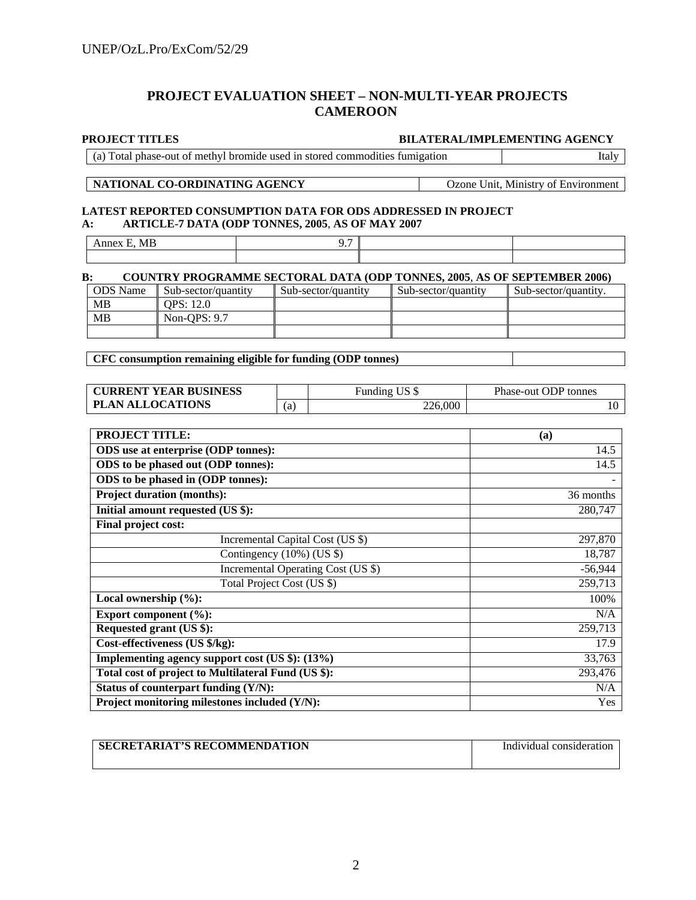#### **PROJECT EVALUATION SHEET – NON-MULTI-YEAR PROJECTS CAMEROON**

#### **PROJECT TITLES BILATERAL/IMPLEMENTING AGENCY**

| (a) Total phase-out of methyl bromide used in stored commodities fumigation |  |
|-----------------------------------------------------------------------------|--|

#### **NATIONAL CO-ORDINATING AGENCY** Ozone Unit, Ministry of Environment

#### **LATEST REPORTED CONSUMPTION DATA FOR ODS ADDRESSED IN PROJECT A: ARTICLE-7 DATA (ODP TONNES, 2005**, **AS OF MAY 2007**

Annex E, MB 9.7

#### **B: COUNTRY PROGRAMME SECTORAL DATA (ODP TONNES, 2005**, **AS OF SEPTEMBER 2006)**  ODS Name Sub-sector/quantity Sub-sector/quantity Sub-sector/quantity Sub-sector/quantity.

| <b>MB</b> | QPS: 12.0    |  |  |
|-----------|--------------|--|--|
| MB        | Non-QPS: 9.7 |  |  |
|           |              |  |  |

**CFC consumption remaining eligible for funding (ODP tonnes)** 

| <b>CURRENT YEAR BUSINESS</b> |   | $F$ unding US $\delta$ | Phase-out ODP tonnes |
|------------------------------|---|------------------------|----------------------|
| <b>PLAN ALLOCATIONS</b>      | a | 226.000                |                      |

| <b>PROJECT TITLE:</b>                               | (a)       |
|-----------------------------------------------------|-----------|
| <b>ODS</b> use at enterprise (ODP tonnes):          | 14.5      |
| ODS to be phased out (ODP tonnes):                  | 14.5      |
| ODS to be phased in (ODP tonnes):                   |           |
| <b>Project duration (months):</b>                   | 36 months |
| Initial amount requested $(\overline{US}$ \$):      | 280,747   |
| Final project cost:                                 |           |
| Incremental Capital Cost (US \$)                    | 297,870   |
| Contingency $(10\%)$ (US \$)                        | 18,787    |
| Incremental Operating Cost (US \$)                  | $-56,944$ |
| Total Project Cost (US \$)                          | 259,713   |
| Local ownership $(\%):$                             | 100%      |
| <b>Export component (%):</b>                        | N/A       |
| Requested grant (US \$):                            | 259,713   |
| Cost-effectiveness (US \$/kg):                      | 17.9      |
| Implementing agency support cost (US \$): (13%)     | 33,763    |
| Total cost of project to Multilateral Fund (US \$): | 293,476   |
| Status of counterpart funding (Y/N):                | N/A       |
| Project monitoring milestones included (Y/N):       | Yes       |

| <b>SECRETARIAT'S RECOMMENDATION</b> | Individual consideration |
|-------------------------------------|--------------------------|
|                                     |                          |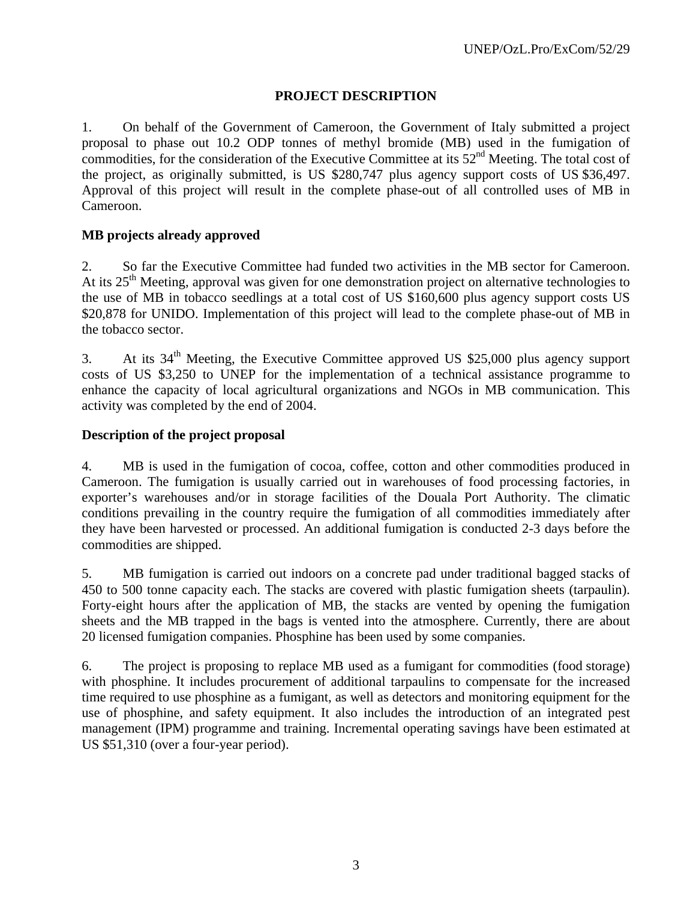# **PROJECT DESCRIPTION**

1. On behalf of the Government of Cameroon, the Government of Italy submitted a project proposal to phase out 10.2 ODP tonnes of methyl bromide (MB) used in the fumigation of commodities, for the consideration of the Executive Committee at its  $52<sup>nd</sup>$  Meeting. The total cost of the project, as originally submitted, is US \$280,747 plus agency support costs of US \$36,497. Approval of this project will result in the complete phase-out of all controlled uses of MB in Cameroon.

#### **MB projects already approved**

2. So far the Executive Committee had funded two activities in the MB sector for Cameroon. At its  $25<sup>th</sup>$  Meeting, approval was given for one demonstration project on alternative technologies to the use of MB in tobacco seedlings at a total cost of US \$160,600 plus agency support costs US \$20,878 for UNIDO. Implementation of this project will lead to the complete phase-out of MB in the tobacco sector.

3. At its  $34<sup>th</sup>$  Meeting, the Executive Committee approved US \$25,000 plus agency support costs of US \$3,250 to UNEP for the implementation of a technical assistance programme to enhance the capacity of local agricultural organizations and NGOs in MB communication. This activity was completed by the end of 2004.

#### **Description of the project proposal**

4. MB is used in the fumigation of cocoa, coffee, cotton and other commodities produced in Cameroon. The fumigation is usually carried out in warehouses of food processing factories, in exporter's warehouses and/or in storage facilities of the Douala Port Authority. The climatic conditions prevailing in the country require the fumigation of all commodities immediately after they have been harvested or processed. An additional fumigation is conducted 2-3 days before the commodities are shipped.

5. MB fumigation is carried out indoors on a concrete pad under traditional bagged stacks of 450 to 500 tonne capacity each. The stacks are covered with plastic fumigation sheets (tarpaulin). Forty-eight hours after the application of MB, the stacks are vented by opening the fumigation sheets and the MB trapped in the bags is vented into the atmosphere. Currently, there are about 20 licensed fumigation companies. Phosphine has been used by some companies.

6. The project is proposing to replace MB used as a fumigant for commodities (food storage) with phosphine. It includes procurement of additional tarpaulins to compensate for the increased time required to use phosphine as a fumigant, as well as detectors and monitoring equipment for the use of phosphine, and safety equipment. It also includes the introduction of an integrated pest management (IPM) programme and training. Incremental operating savings have been estimated at US \$51,310 (over a four-year period).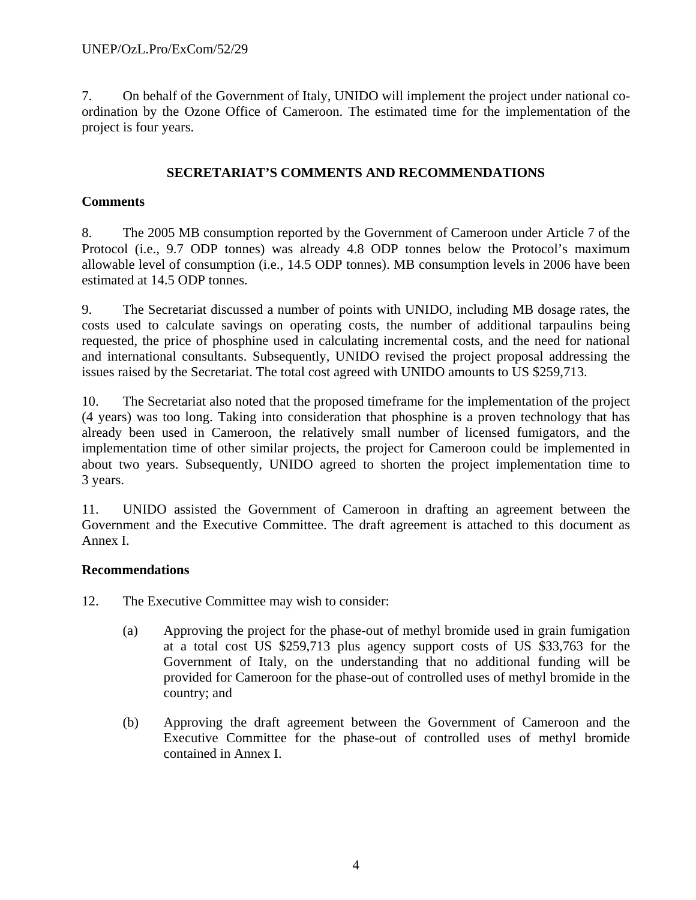7. On behalf of the Government of Italy, UNIDO will implement the project under national coordination by the Ozone Office of Cameroon. The estimated time for the implementation of the project is four years.

# **SECRETARIAT'S COMMENTS AND RECOMMENDATIONS**

## **Comments**

8. The 2005 MB consumption reported by the Government of Cameroon under Article 7 of the Protocol (i.e., 9.7 ODP tonnes) was already 4.8 ODP tonnes below the Protocol's maximum allowable level of consumption (i.e., 14.5 ODP tonnes). MB consumption levels in 2006 have been estimated at 14.5 ODP tonnes.

9. The Secretariat discussed a number of points with UNIDO, including MB dosage rates, the costs used to calculate savings on operating costs, the number of additional tarpaulins being requested, the price of phosphine used in calculating incremental costs, and the need for national and international consultants. Subsequently, UNIDO revised the project proposal addressing the issues raised by the Secretariat. The total cost agreed with UNIDO amounts to US \$259,713.

10. The Secretariat also noted that the proposed timeframe for the implementation of the project (4 years) was too long. Taking into consideration that phosphine is a proven technology that has already been used in Cameroon, the relatively small number of licensed fumigators, and the implementation time of other similar projects, the project for Cameroon could be implemented in about two years. Subsequently, UNIDO agreed to shorten the project implementation time to 3 years.

11. UNIDO assisted the Government of Cameroon in drafting an agreement between the Government and the Executive Committee. The draft agreement is attached to this document as Annex I.

#### **Recommendations**

- 12. The Executive Committee may wish to consider:
	- (a) Approving the project for the phase-out of methyl bromide used in grain fumigation at a total cost US \$259,713 plus agency support costs of US \$33,763 for the Government of Italy, on the understanding that no additional funding will be provided for Cameroon for the phase-out of controlled uses of methyl bromide in the country; and
	- (b) Approving the draft agreement between the Government of Cameroon and the Executive Committee for the phase-out of controlled uses of methyl bromide contained in Annex I.